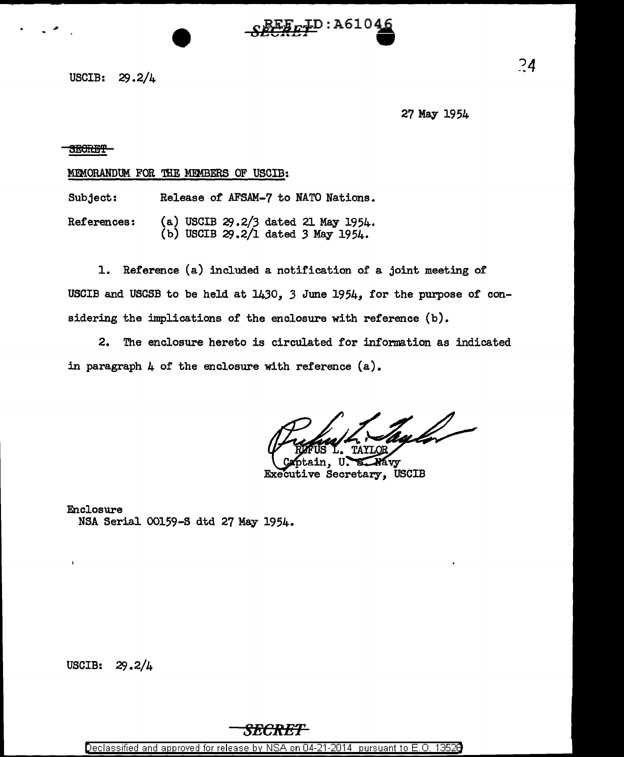

USCIB: 29.2/4

27 May 1954

## SEGREF

## MEMORANDUM FOR THE MEMBERS OF USCIB:

Subject: Release of AFSAM-7 to NATO Nations.

References: (a) USCIB 29.2/3 dated 21 May 1954. (b) USCIB 29.2/l dated *3* May 1954.

1. Reference (a) included a notification of a joint meeting of USCIB and USCSB to be held at 1430, *3* June 1954, for the purpose of considering the implications of the enclosure with reference (b).

2. The enclosure hereto is circulated for information as indicated in paragraph  $\mu$  of the enclosure with reference  $(a)$ .

tul -

avy Executive Secretary, USCIB

Enclosure NSA Serial 00159-S dtd 27 May 1954.

USCIB: 29 .2/4

 $\mathbf{r}$ 

## *SECRET*

Declassified and approved for release by NSA on 04-21-2014 pursuant to E. 0. 1352B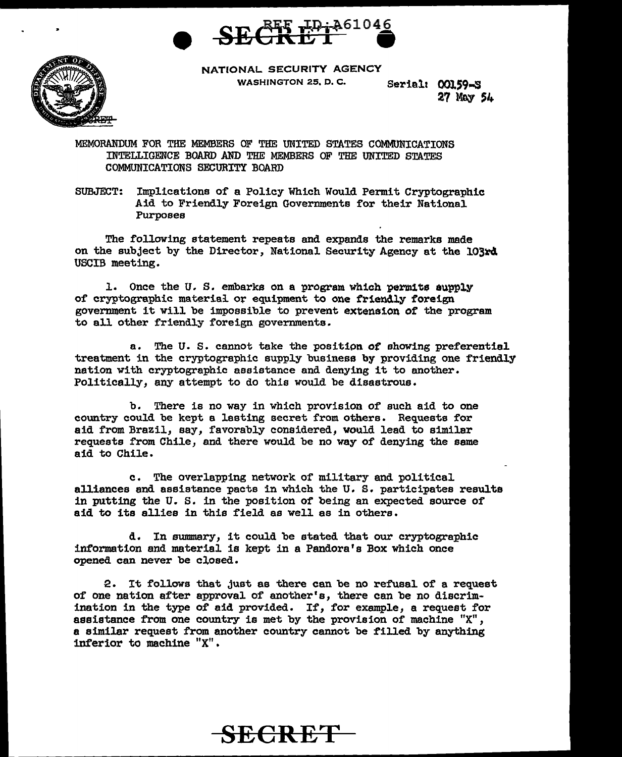



NATIONAL SECURITY AGENCY WASHINGTON 25, D.C. Serial: 00159-S

27 Mew 54

MEMORANDUM FOR THE MEMBERS OF THE UNITED STATES COMMUNICATIONS INTELLIGENCE BOARD AND THE MEMBERS OF THE UNITED STATES COMMUNICATIONS SECURITY BOARD

SUBJECT: Implications of a Policy Which Would Permit Cryptographic Aid to Friendly Foreign Governments for their National Purposes

The following statement repeats and expands the remarks made on the subject by the Director, National Security Agency at the 103rd USCIB meeting.

1. Once the U.S. embarks on a program which permits supply of cryptographic material or equipment to one friendly foreign government it will be impossible to prevent extension of the program to all other friendly foreign governments.

a. The U.S. cannot take the position of showing preferential treatment in the cryptographic supply business by providing one friendly nation with cryptographic assistance and denying it to another. Politically, any attempt to do this would be disastrous.

b. There is no way in which provision of such aid to one country could be kept a lasting secret from others. Requests for aid from Brazil, say, favorably considered, would lead to similar requests from Chile, and there would be no way of denying the same aid to Chile.

c. The overlapping network of military and political alliances and assistance pacts in which the U.S. participates results in putting the U. S. in the position of being an expected source of aid to its allies in this field as well as in others.

d. In summary, it could be stated that our cryptographic information and material is kept in a Pandora's Box which once opened can never be closed.

2. It follows that just as there can be no refusal of a request of one nation after approval of another's, there can be no discrimination in the type of aid provided. If, for example, a request for assistance from one country is met by the provision of machine "X", a similar request from another country cannot be filled by anything inferior to machine "X".

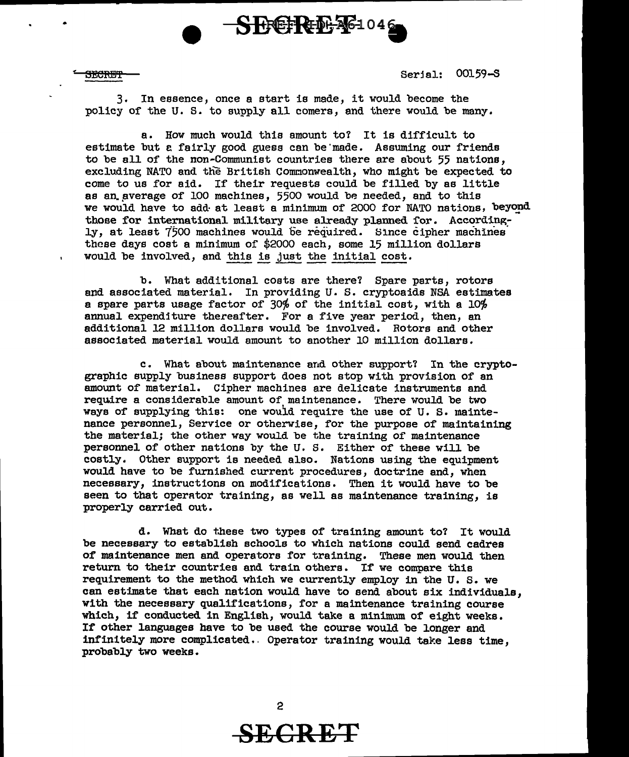

•

 $\frac{1}{32}$  Serjal: 00159-S

3. In essence, once a start is made, it would become the policy of the U. s. to supply all comers, and there would be many.

a. How much would this amount to? It is difficult to estimate but e fairly good guess can be'made. Assuming our friends to be all of the non-Communist countries there are about 55 nations, excluding NATO and the British Commonwealth, who might be expected to come to us for aid. If their requests could be filled by as little as an average of 100 machines, 5500 would be needed, and to this we would have to add at least a minimum of 2000 for NATO nations, beyond those for international military use already planned for. Accordingly, at least *1\$00* machines would be required. Since cipher machines· these days cost a minimum of \$2000 each, some 15 million dollars would be involved, and this is just the initial cost.

b. What additional costs are there? Spare parts, rotors and associated material. In providing U.S. cryptoaids NSA estimates a spare parts usage factor of 30% of the initial cost, with a 10% annual expenditure thereafter. For a five year period, then, an additional 12 million dollars would be involved. Rotors and other associated material would amount to another 10 million dollars.

c. What about maintenance and other support? In the cryptographic supply business support does not stop with provision of an amount of material. Cipher machines are delicate instruments and require a considerable amount of maintenance. There would be *two*  ways of supplying this: one would require the use of U.S. maintenance personnel, Service or otherwise, for the purpose of maintaining the material; the other way would be the training of maintenance personnel of other nations by the U. s. Either of these will be costly. Other support is needed also. Nations using the equipment would have to be furnished current procedures, doctrine and, when necessary, instructions on modifications. Then it would have to be seen to that operator training, as well as maintenance training, is properly carried out.

d. What do t.hese *two* types of training amount to? It would be necessary to establish schools to which nations could send cadres *ot* maintenance men and operators for training. These men would then return to their countries and train others. If *we* compare this requirement to the method which we currently employ in the U. s. *we*  can estimate that each nation would have to send about six individuals, with the necessary qualifications, for a maintenance training course which, if conducted in English, would take a minimum of eight weeks. If other languages have to be used the course would be longer and infinitely more complicated •. Operator training would take less time, probably two weeks.



**SECRET**